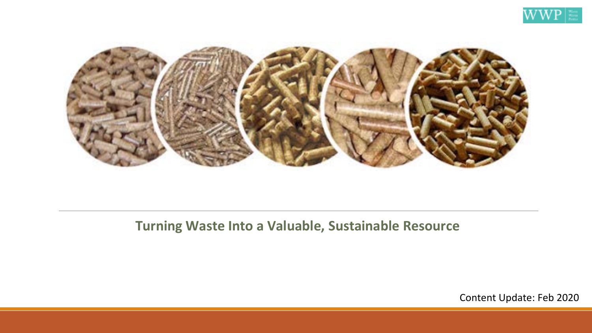



#### **Turning Waste Into a Valuable, Sustainable Resource**

Content Update: Feb 2020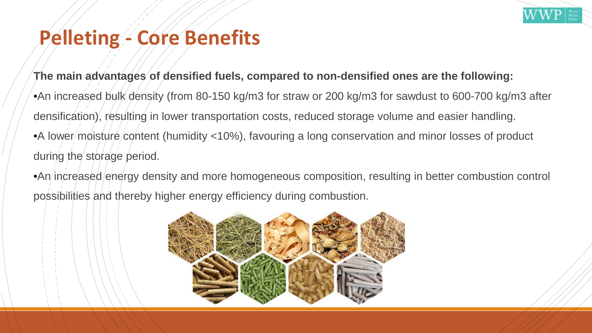

## **Pelleting - Core Benefits**

**The main advantages of densified fuels, compared to non-densified ones are the following:** •An increased bulk density (from 80-150 kg/m3 for straw or 200 kg/m3 for sawdust to 600-700 kg/m3 after densification), resulting in lower transportation costs, reduced storage volume and easier handling. •A lower moisture content (humidity <10%), favouring a long conservation and minor losses of product during the storage period.

•An increased energy density and more homogeneous composition, resulting in better combustion control possibilities and thereby higher energy efficiency during combustion.

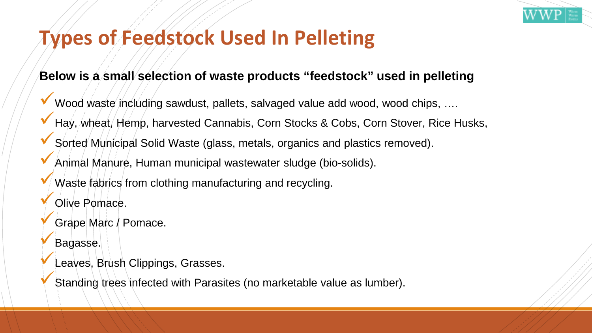

## **Types of Feedstock Used In Pelleting**

#### **Below is a small selection of waste products "feedstock" used in pelleting**

- Wood waste including sawdust, pallets, salvaged value add wood, wood chips, ....
- Hay, wheat, Hemp, harvested Cannabis, Corn Stocks & Cobs, Corn Stover, Rice Husks,
- Sorted Municipal Solid Waste (glass, metals, organics and plastics removed).
- Animal Manure, Human municipal wastewater sludge (bio-solids).
- Waste fabrics from clothing manufacturing and recycling.
- Olive Pomace.
- Grape Marc / Pomace.
- Bagasse.
- Leaves, Brush Clippings, Grasses.
- Standing trees infected with Parasites (no marketable value as lumber).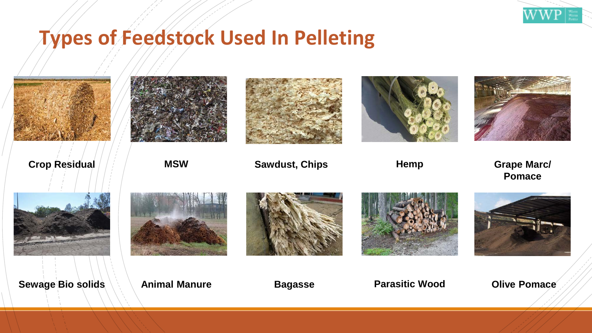

# **Types of Feedstock Used In Pelleting**











**Crop Residual Attack Chips** Sawdust, Chips **Crop Residual Attitude Marc/ Grape Marc/** 

**Pomace** 











**Sewage Bio solids Animal Manure Bagasse Bagasse Parasitic Wood Clive Pomace**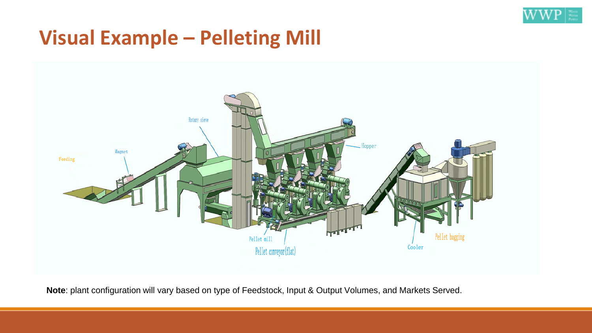

# **Visual Example – Pelleting Mill**



**Note**: plant configuration will vary based on type of Feedstock, Input & Output Volumes, and Markets Served.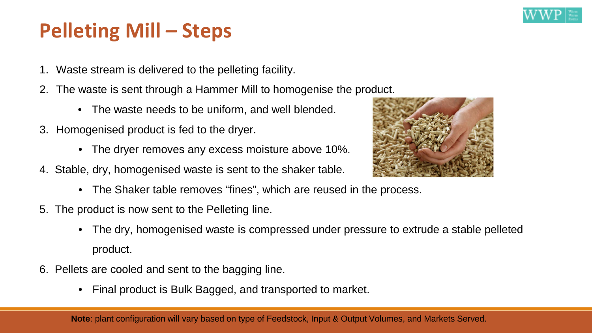

# **Pelleting Mill – Steps**

- 1. Waste stream is delivered to the pelleting facility.
- 2. The waste is sent through a Hammer Mill to homogenise the product.
	- The waste needs to be uniform, and well blended.
- 3. Homogenised product is fed to the dryer.
	- The dryer removes any excess moisture above 10%.
- 4. Stable, dry, homogenised waste is sent to the shaker table.



- The Shaker table removes "fines", which are reused in the process.
- 5. The product is now sent to the Pelleting line.
	- The dry, homogenised waste is compressed under pressure to extrude a stable pelleted product.
- 6. Pellets are cooled and sent to the bagging line.
	- Final product is Bulk Bagged, and transported to market.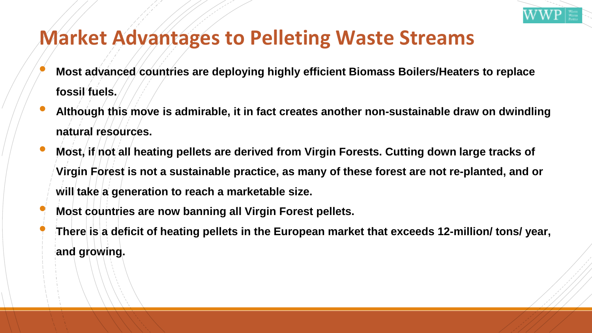

## **Market Advantages to Pelleting Waste Streams**

- **Most advanced countries are deploying highly efficient Biomass Boilers/Heaters to replace fossil fuels.**
- **Although this move is admirable, it in fact creates another non-sustainable draw on dwindling natural resources.**
- Most, if not all heating pellets are derived from Virgin Forests. Cutting down large tracks of **Virgin Forest is not a sustainable practice, as many of these forest are not re-planted, and or**  will take a generation to reach a marketable size.
- **Most countries are now banning all Virgin Forest pellets.**
- **There is a deficit of heating pellets in the European market that exceeds 12-million/ tons/ year, and growing.**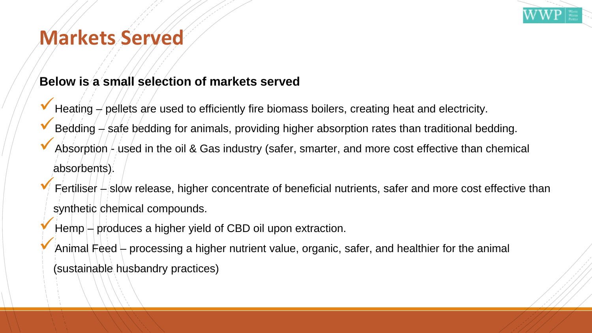

### **Markets Served**

#### **Below is a small selection of markets served**

- Heating  $\frac{1}{2}$  pellets are used to efficiently fire biomass boilers, creating heat and electricity.
- Bedding  $-$  safe bedding for animals, providing higher absorption rates than traditional bedding.
- Absorption  $\frac{1}{2}$  used in the oil & Gas industry (safer, smarter, and more cost effective than chemical absorbents).
- Fertiliser  $\div$  slow release, higher concentrate of beneficial nutrients, safer and more cost effective than synthetic chemical compounds.
- $Hemp \rightarrow$  produces a higher yield of CBD oil upon extraction.
- Animal Feed  $\vdash$  processing a higher nutrient value, organic, safer, and healthier for the animal (sustainable husbandry practices)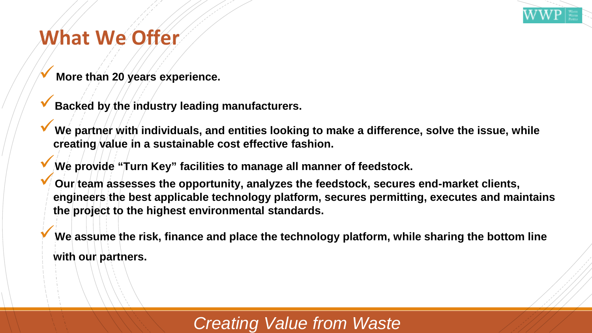

## **What We Offer**

**More than 20 years experience.**

- **Backed by the industry leading manufacturers.**
- We partner with individuals, and entities looking to make a difference, solve the issue, while **creating value in a sustainable cost effective fashion.**
- **We provide "Turn Key" facilities to manage all manner of feedstock.**
- **Our team assesses the opportunity, analyzes the feedstock, secures end-market clients, engineers the best applicable technology platform, secures permitting, executes and maintains the project to the highest environmental standards.**
- **We assume the risk, finance and place the technology platform, while sharing the bottom line with our partners.**

### *Creating Value from Waste*